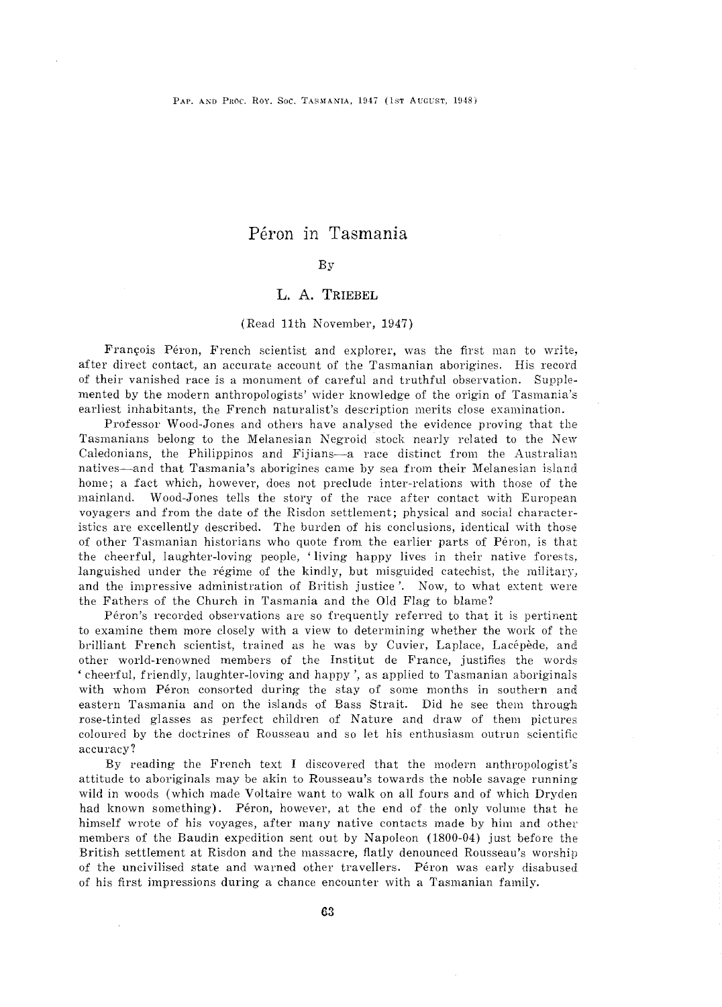# Péron in Tasmania

### By

## L. A. TRIEBEL

#### (Head 11th November, 1947)

François Péron, French scientist and explorer, was the first man to write, after direct contact, an accurate account of the Tasmanian aborigines. His record of their vanished race is a monument of careful and truthful observation. Supplemented by the modern anthropologists' wider knowledge of the origin of Tasmania's earliest inhabitants, the French naturalist's description merits close examination.

Professor Wood-Jones and others have analysed the evidence proving that the Tasmanians belong to the Melanesian Negroid stock nearly related to the New Caledonians, the Philippinos and Fijians-a race distinct from the Australian natives-and that Tasmania's aborigines came by sea from their Melanesian island home; a fact which, however, does not preclude inter-relations with those of the mainland. Wood-Jones tells the story of the race after contact with European voyagers and from the date of the Hisdon settlement; physical and social characteristics are excellently described. The burden of his conclusions, identical with those of other Tasmanian historians who quote from the earlier parts of Péron, is that the cheerful, laughter-loving people, 'living happy lives in their native forests, languished under the régime of the kindly, but misguided catechist, the military, and the impressive administration of British justice'. Now, to what extent were the Fathers of the Church in Tasmania and the Old Flag to blame?

Péron's recorded observations are so frequently referred to that it is pertinent to examine them more closely with a view to determining whether the work of the brilliant French scientist, trained as he was by Cuvier, Laplace, Lacepede, and other world-renowned members of the Institut de France, justifies the words 'cheerful, friendly, laughter-loving and happy', as applied to Tasmanian aboriginals with whom Péron consorted during the stay of some months in southern and eastern Tasmania and on the islands of Bass Strait. Did he see them through rose-tinted glasses as perfect children of Nature and draw of them pictures coloured by the doctrines of Housseau and so let his enthusiasm outrun scientific accuracy?

By reading the French text I discovered that the modern anthropologist's attitude to aboriginals may be akin to Housseau's towards the noble savage running wild in woods (which made Voltaire want to walk on all fours and of which Dryden had known something). Péron, however, at the end of the only volume that he himself wrote of his voyages, after many native contacts made by him and other members of the Baudin expedition sent out by Napoleon (1800-04) just before the British settlement at Hisdon and the massacre, flatly denounced Housseau's worship of the uncivilised state and warned other travellers. Peron was early disabused of his first impressions during a chance encounter with a Tasmanian family.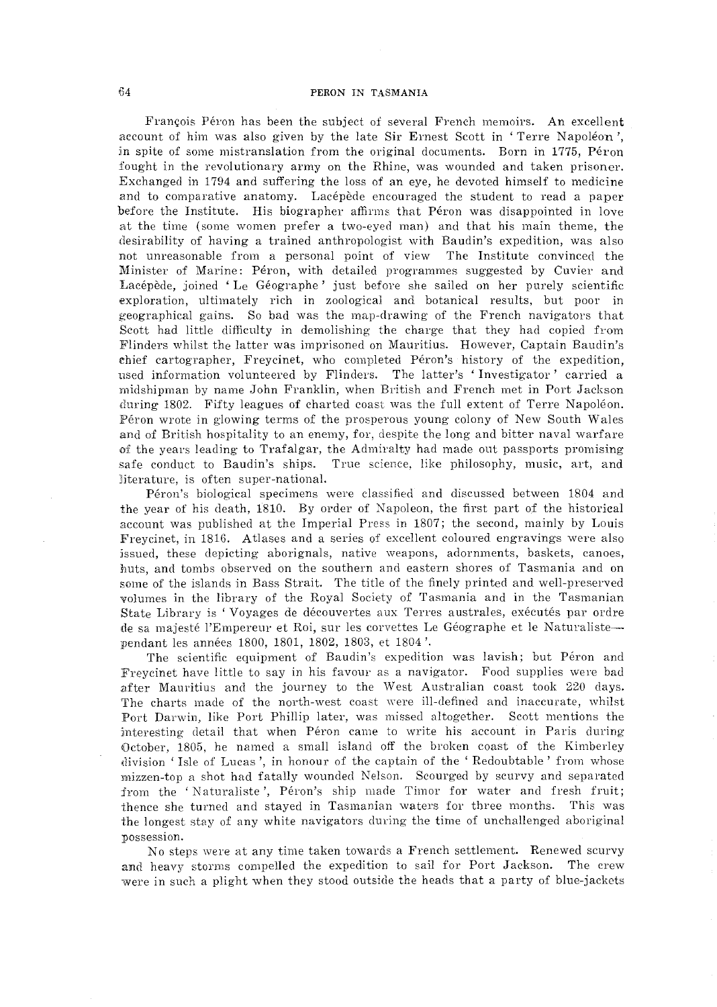François Péron has been the subject of several French memoirs. An excellent account of him was also given by the late Sir Ernest Scott in 'Terre Napoleon', in spite of some mistranslation from the original documents. Born in 1775, Péron :fought in the revolutionary army on the Rhine, was wounded and taken prisoner. Exchanged in 1794 and suffering the loss of an eye, he devoted himself to medicine and to comparative anatomy. Lacépède encouraged the student to read a paper before the Institute. His biographer affirms that Péron was disappointed in love at the time (some women prefer a two-eyed man) and that his main theme, the desirability of having a trained anthropologist with Baudin's expedition, was also not unreasonable from a personal point of view The Institute convinced the Minister of Marine: Péron, with detailed programmes suggested by Cuvier and Lacépède, joined 'Le Géographe' just before she sailed on her purely scientific exploration, ultimately rich in zoological and botanical results, but poor in geographical gains. So bad was the map-drawing of the French navigators that Scott had little difficulty in demolishing the charge that they had copied from Flinders whilst the latter was imprisoned on Mauritius. However, Captain Baudin's chief cartographer, Freycinet, who completed Peron's history of the expedition, used information volunteered by Flinders. The latter's 'Investigator' carried a midshipman by name John Franklin, when British and French met in Port Jackson during 1802. Fifty leagues of charted coast was the full extent of Terre Napoleon. Péron wrote in glowing terms of the prosperous young colony of New South Wales and of British hospitality to an enemy, for, despite the long and bitter naval warfare of the years leading to Trafalgar, the Admiralty had made out passports promising safe conduct to Baudin's ships. True science, like philosophy, music, art, and literature, is often super-national.

Péron's biological specimens were classified and discussed between 1804 and the year of his death, 1810. By order of Napoleon, the first part of the historical account was published at the Imperial Press in 1807; the second, mainly by Louis Freycinet, in 1816. Atlases and a series of excellent coloured engravings were also issued, these depicting aborignals, native weapons, adornments, baskets, canoes, huts, and tombs observed on the southern and eastern shores of Tasmania and on some of the islands in Bass Strait. The title of the finely printed and well-preserved volumes in the library of the Royal Society of Tasmania and in the Tasmanian State Library is 'Voyages de découvertes aux Terres australes, exécutés par ordre de sa majesté l'Empereur et Roi, sur les corvettes Le Géographe et le Naturaliste--pendant les années 1800, 1801, 1802, 1803, et 1804'.

The scientific equipment of Baudin's expedition was lavish; but Péron and Freycinet have little to say in his favour as a navigator. Food supplies were bad after Mauritius and the journey to the West Australian coast took 220 days. The charts made of the north-west coast were ill-defined and inaccurate, whilst Port Darwin, like Port Phillip later, was missed altogether. Scott mentions the interesting detail that when Péron came to write his account in Paris during October, 1805, he named a small island off the broken coast of the Kimberley division 'Isle of Lucas', in honour of the captain of the 'Redoubtable' from whose mizzen-top a Phot had fatally wounded Nelson. Seourged by scurvy and separated from the 'Naturaliste', Péron's ship made Timor for water and fresh fruit; thence she turned and stayed in Tasmanian waters for three months. This was the longest stay of any white navigators during the time of unchallenged aboriginal possession.

No steps were at any time taken towards a French settlement. Renewed scurvy and heavy storms compelled the expedition to sail for Port Jackson. The crew were in such a plight when they stood outside the heads that a party of blue-jackets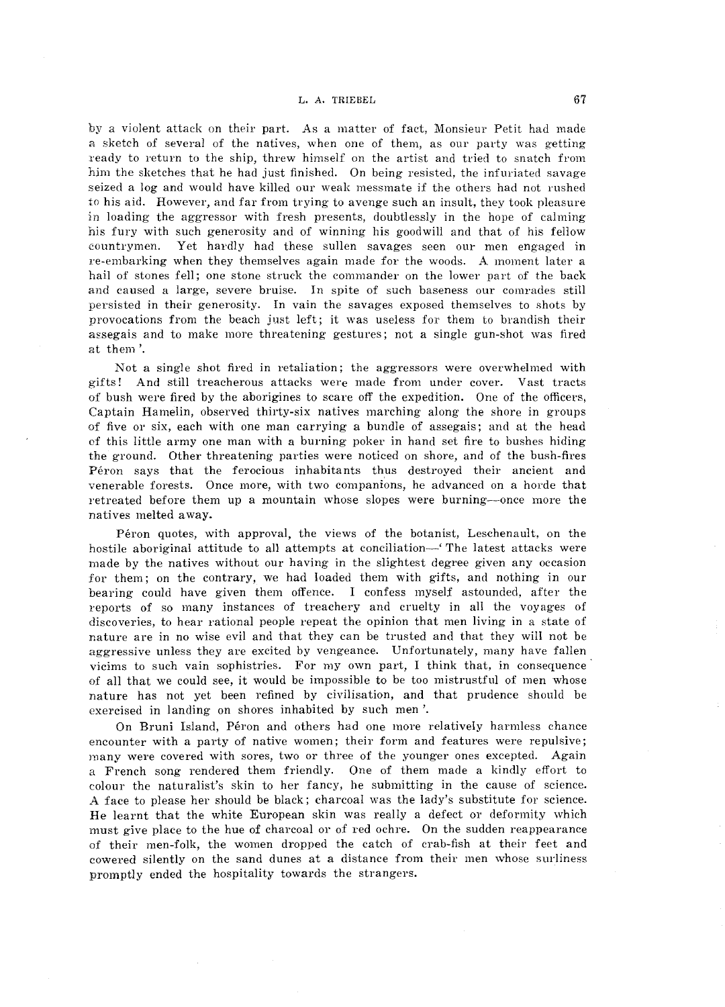#### L. A. TRIEBEL 67

by a violent attack on their part. As a matter of fact, Monsieur Petit had made a sketch of several of the natives, when one of them, as our party was getting ready to return to the ship, threw himself on the artist and tried to snatch from hjm the sketches that he had just finished. On being resisted, the infuriated savage seized a log and would have killed our weak messmate if the others had not rushed to his aid. However, and far from trying to avenge such an insult, they took pleasure in loading the aggressor with fresh presents, doubtlessly in the hope of calming his fury with such generosity and of winning his goodwill and that of his fellow countrymen. Yet hardly had these sullen savages seen our men engaged in re-embarking when they themselves again made for the woods. A moment later a hail of stones fell; one stone struck the commander on the lower part of the back and caused a large, severe bruise. In spite of such baseness our comrades still persisted in their generosity. In vain the savages exposed themselves to shots by provocations from the beach just left; it was useless for them to brandish their assegais and to make more threatening gestures; not a single gun-shot was fired at them'.

Not a single shot fired in retaliation; the aggressors were overwhelmed with gifts! And still treacherous attacks were made from under cover. Vast tracts of bush were fired by the aborigines to scare off the expedition. One of the officers, Captain Hamelin, observed thirty-six natives marching along the shore in groups of five or six, each with one man carrying a bundle of assegais; and at the head of this little army one man with a burning poker in hand set fire to bushes hiding the ground. Other threatening parties were noticed on shore, and of the bush-fires Peron says that the ferocious inhabitants thus destroyed their ancient and venerable forests. Once more, with two companions, he advanced on a horde that retreated before them up a mountain whose slopes were burning--once more the natives melted away.

Péron quotes, with approval, the views of the botanist, Leschenault, on the hostile aboriginal attitude to all attempts at conciliation—' The latest attacks were made by the natives without our having in the slightest degree given any occasion for them; on the contrary, we had loaded them with gifts, and nothing in our bearing could have given them offence. I confess myself astounded, after the reports of so many instances of treachery and cruelty in all the voyages of discoveries, to hear rational people repeat the opinion that men living in a state of nature are in no wise evil and that they can be trusted and that they will not be aggressive unless they are excited by vengeance. Unfortunately, many have fallen vicims to such vain sophistries. For my own part, I think that, in consequence· of all that we could see, it would be impossible to be too mistrustful of men whose nature has not yet been refined by civilisation, and that prudence should be exercised in landing on shores inhabited by such men'.

On Bruni Island, Peron and others had one more relatively harmless chance encounter with a party of native women; their form and features were repulsive; many were covered with sores, two or three of the younger ones excepted. Again a French song rendered them friendly. One of them made a kindly effort to colour the naturalist's skin to her fancy, he submitting in the cause of science. A face to please her should be black; charcoal was the lady's substitute for science. He learnt that the white European skin was really a defect or deformity which must give place to the hue of charcoal or of red ochre. On the sudden reappearance of their men-folk, the women dropped the catch of crab-fish at their feet and cowered silently on the sand dunes at a distance from their men whose surliness promptly ended the hospitality towards the strangers.